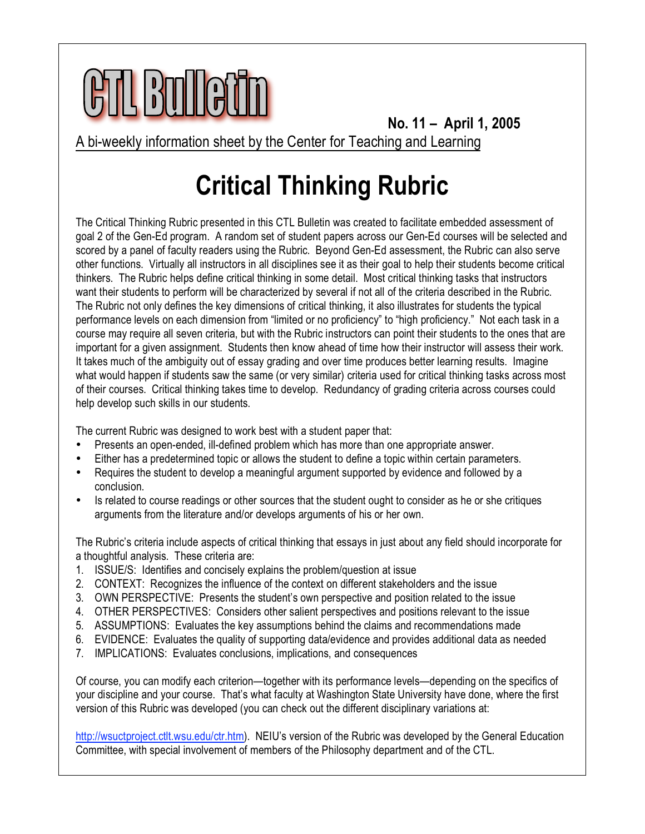

**No. 11 – April 1, 2005** A bi-weekly information sheet by the Center for Teaching and Learning

## **Critical Thinking Rubric**

The Critical Thinking Rubric presented in this CTL Bulletin was created to facilitate embedded assessment of goal 2 of the Gen-Ed program. A random set of student papers across our Gen-Ed courses will be selected and scored by a panel of faculty readers using the Rubric. Beyond Gen-Ed assessment, the Rubric can also serve other functions. Virtually all instructors in all disciplines see it as their goal to help their students become critical thinkers. The Rubric helps define critical thinking in some detail. Most critical thinking tasks that instructors want their students to perform will be characterized by several if not all of the criteria described in the Rubric. The Rubric not only defines the key dimensions of critical thinking, it also illustrates for students the typical performance levels on each dimension from "limited or no proficiency" to "high proficiency." Not each task in a course may require all seven criteria, but with the Rubric instructors can point their students to the ones that are important for a given assignment. Students then know ahead of time how their instructor will assess their work. It takes much of the ambiguity out of essay grading and over time produces better learning results. Imagine what would happen if students saw the same (or very similar) criteria used for critical thinking tasks across most of their courses. Critical thinking takes time to develop. Redundancy of grading criteria across courses could help develop such skills in our students.

The current Rubric was designed to work best with a student paper that:

- Presents an open-ended, ill-defined problem which has more than one appropriate answer.
- Either has a predetermined topic or allows the student to define a topic within certain parameters.
- Requires the student to develop a meaningful argument supported by evidence and followed by a conclusion.
- Is related to course readings or other sources that the student ought to consider as he or she critiques arguments from the literature and/or develops arguments of his or her own.

The Rubric's criteria include aspects of critical thinking that essays in just about any field should incorporate for a thoughtful analysis. These criteria are:

- 1. ISSUE/S: Identifies and concisely explains the problem/question at issue
- 2. CONTEXT: Recognizes the influence of the context on different stakeholders and the issue
- 3. OWN PERSPECTIVE: Presents the student's own perspective and position related to the issue
- 4. OTHER PERSPECTIVES: Considers other salient perspectives and positions relevant to the issue
- 5. ASSUMPTIONS: Evaluates the key assumptions behind the claims and recommendations made
- 6. EVIDENCE: Evaluates the quality of supporting data/evidence and provides additional data as needed
- 7. IMPLICATIONS: Evaluates conclusions, implications, and consequences

Of course, you can modify each criterion—together with its performance levels—depending on the specifics of your discipline and your course. That's what faculty at Washington State University have done, where the first version of this Rubric was developed (you can check out the different disciplinary variations at:

[http://wsuctproject.ctlt.wsu.edu/ctr.htm\).](http://wsuctproject.ctlt.wsu.edu/ctr.htm) NEIU's version of the Rubric was developed by the General Education Committee, with special involvement of members of the Philosophy department and of the CTL.